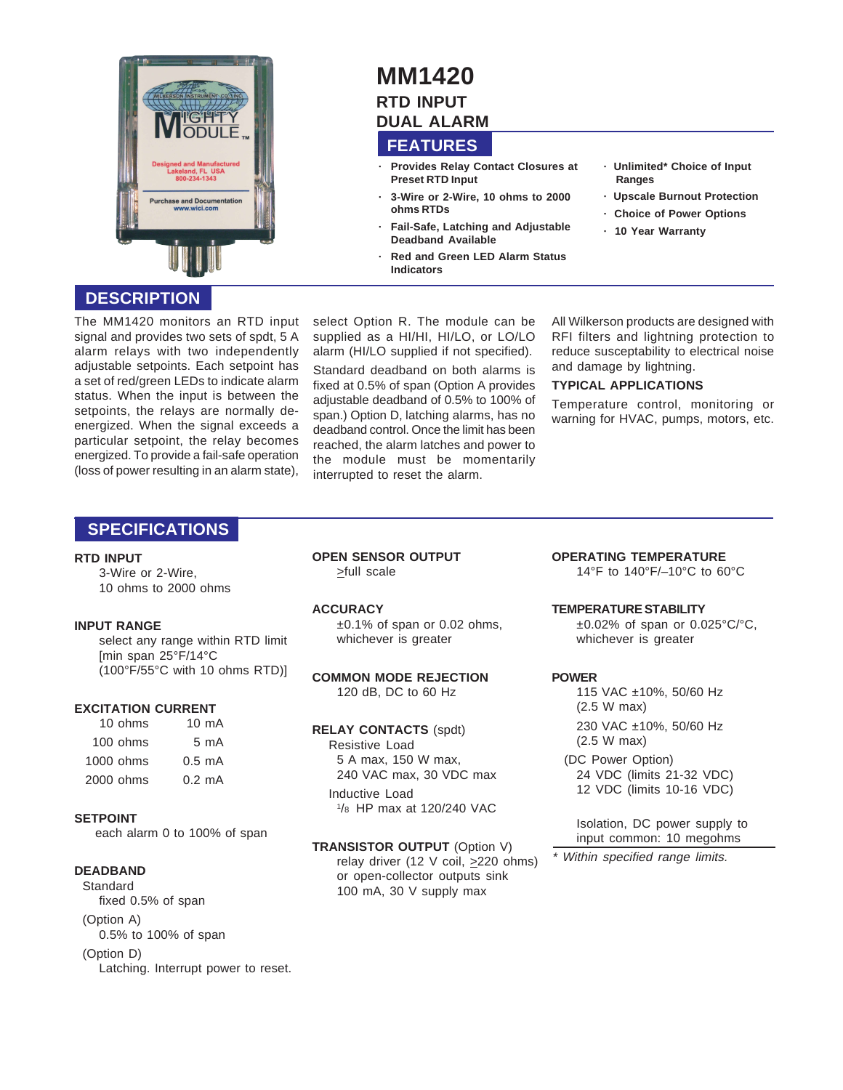

# **MM1420 RTD INPUT**

# **DUAL ALARM**

## **FEATURES**

- **· Provides Relay Contact Closures at Preset RTD Input**
- **· 3-Wire or 2-Wire, 10 ohms to 2000 ohms RTDs**
- **· Fail-Safe, Latching and Adjustable Deadband Available**
- **· Red and Green LED Alarm Status Indicators**
- **· Unlimited\* Choice of Input Ranges**
- **· Upscale Burnout Protection**
- **· Choice of Power Options**
- **· 10 Year Warranty**

### **DESCRIPTION**

The MM1420 monitors an RTD input signal and provides two sets of spdt, 5 A alarm relays with two independently adjustable setpoints. Each setpoint has a set of red/green LEDs to indicate alarm status. When the input is between the setpoints, the relays are normally deenergized. When the signal exceeds a particular setpoint, the relay becomes energized. To provide a fail-safe operation (loss of power resulting in an alarm state),

select Option R. The module can be supplied as a HI/HI, HI/LO, or LO/LO alarm (HI/LO supplied if not specified). Standard deadband on both alarms is fixed at 0.5% of span (Option A provides adjustable deadband of 0.5% to 100% of span.) Option D, latching alarms, has no deadband control. Once the limit has been reached, the alarm latches and power to the module must be momentarily interrupted to reset the alarm.

All Wilkerson products are designed with RFI filters and lightning protection to reduce susceptability to electrical noise and damage by lightning.

#### **TYPICAL APPLICATIONS**

Temperature control, monitoring or warning for HVAC, pumps, motors, etc.

### **SPECIFICATIONS**

#### **RTD INPUT**

3-Wire or 2-Wire, 10 ohms to 2000 ohms

#### **INPUT RANGE**

select any range within RTD limit [min span 25°F/14°C (100°F/55°C with 10 ohms RTD)]

#### **EXCITATION CURRENT**

| $10$ ohms  | 10 mA            |
|------------|------------------|
| $100$ ohms | 5 mA             |
| 1000 ohms  | $0.5 \text{ mA}$ |
| 2000 ohms  | 0.2 mA           |

#### **SETPOINT**

each alarm 0 to 100% of span

#### **DEADBAND**

Standard fixed 0.5% of span (Option A) 0.5% to 100% of span (Option D) Latching. Interrupt power to reset. **OPEN SENSOR OUTPUT** >full scale

#### **ACCURACY**

 $\pm 0.1\%$  of span or 0.02 ohms, whichever is greater

**COMMON MODE REJECTION** 120 dB, DC to 60 Hz

#### **RELAY CONTACTS** (spdt)

Resistive Load 5 A max, 150 W max, 240 VAC max, 30 VDC max Inductive Load 1 /8 HP max at 120/240 VAC

**TRANSISTOR OUTPUT** (Option V) relay driver (12 V coil,  $\geq$ 220 ohms) or open-collector outputs sink 100 mA, 30 V supply max

**OPERATING TEMPERATURE** 14°F to 140°F/–10°C to 60°C

#### **TEMPERATURE STABILITY**

 $\pm 0.02\%$  of span or 0.025°C/°C, whichever is greater

#### **POWER**

115 VAC ±10%, 50/60 Hz (2.5 W max) 230 VAC ±10%, 50/60 Hz (2.5 W max)

(DC Power Option) 24 VDC (limits 21-32 VDC) 12 VDC (limits 10-16 VDC)

Isolation, DC power supply to input common: 10 megohms

\* Within specified range limits.